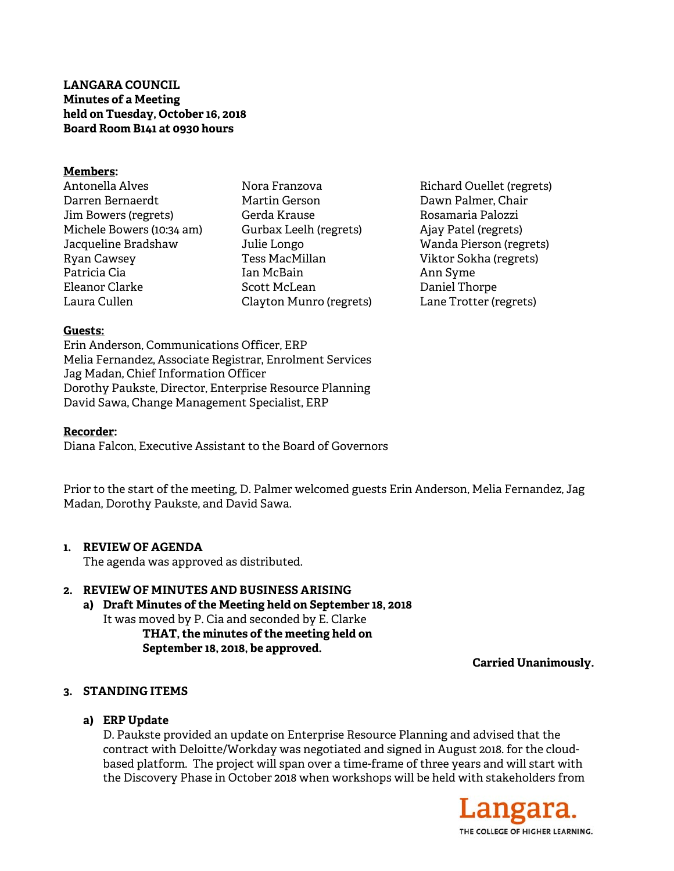## **LANGARA COUNCIL Minutes of a Meeting held on Tuesday, October 16, 2018 Board Room B141 at 0930 hours**

#### **Members:**

Antonella Alves Darren Bernaerdt Jim Bowers (regrets) Michele Bowers (10:34 am) Jacqueline Bradshaw Ryan Cawsey Patricia Cia Eleanor Clarke Laura Cullen

Nora Franzova Martin Gerson Gerda Krause Gurbax Leelh (regrets) Julie Longo Tess MacMillan Ian McBain Scott McLean Clayton Munro (regrets) Richard Ouellet (regrets) Dawn Palmer, Chair Rosamaria Palozzi Ajay Patel (regrets) Wanda Pierson (regrets) Viktor Sokha (regrets) Ann Syme Daniel Thorpe Lane Trotter (regrets)

### **Guests:**

Erin Anderson, Communications Officer, ERP Melia Fernandez, Associate Registrar, Enrolment Services Jag Madan, Chief Information Officer Dorothy Paukste, Director, Enterprise Resource Planning David Sawa, Change Management Specialist, ERP

### **Recorder:**

Diana Falcon, Executive Assistant to the Board of Governors

Prior to the start of the meeting, D. Palmer welcomed guests Erin Anderson, Melia Fernandez, Jag Madan, Dorothy Paukste, and David Sawa.

## **1. REVIEW OF AGENDA**

The agenda was approved as distributed.

## **2. REVIEW OF MINUTES AND BUSINESS ARISING**

**a) Draft Minutes of the Meeting held on September 18, 2018**  It was moved by P. Cia and seconded by E. Clarke **THAT, the minutes of the meeting held on September 18, 2018, be approved.** 

**Carried Unanimously.** 

# **3. STANDING ITEMS**

## **a) ERP Update**

D. Paukste provided an update on Enterprise Resource Planning and advised that the contract with Deloitte/Workday was negotiated and signed in August 2018. for the cloudbased platform. The project will span over a time-frame of three years and will start with the Discovery Phase in October 2018 when workshops will be held with stakeholders from

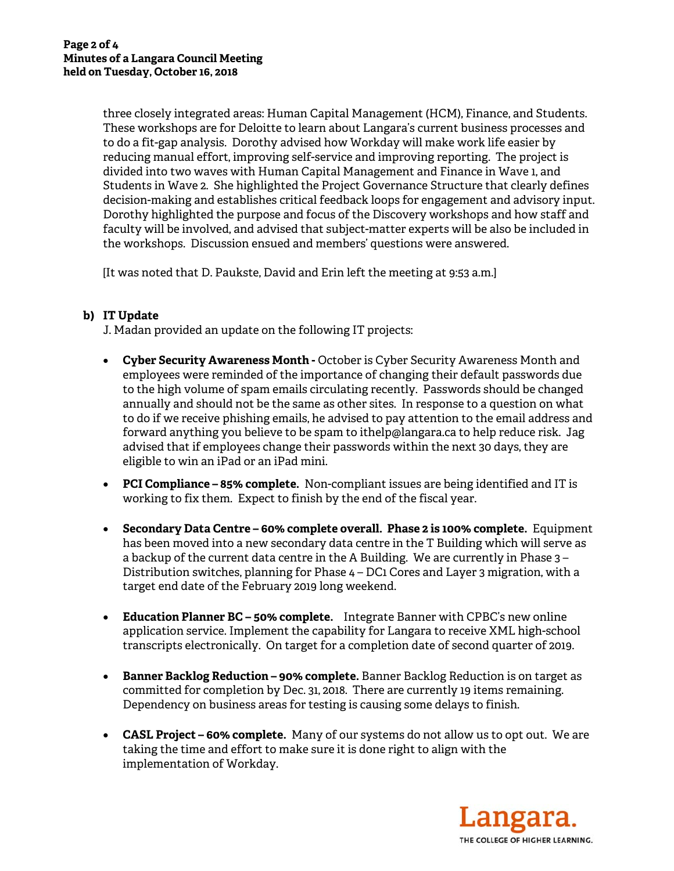three closely integrated areas: Human Capital Management (HCM), Finance, and Students. These workshops are for Deloitte to learn about Langara's current business processes and to do a fit-gap analysis. Dorothy advised how Workday will make work life easier by reducing manual effort, improving self-service and improving reporting. The project is divided into two waves with Human Capital Management and Finance in Wave 1, and Students in Wave 2. She highlighted the Project Governance Structure that clearly defines decision-making and establishes critical feedback loops for engagement and advisory input. Dorothy highlighted the purpose and focus of the Discovery workshops and how staff and faculty will be involved, and advised that subject-matter experts will be also be included in the workshops. Discussion ensued and members' questions were answered.

[It was noted that D. Paukste, David and Erin left the meeting at 9:53 a.m.]

# **b) IT Update**

J. Madan provided an update on the following IT projects:

- **Cyber Security Awareness Month -** October is Cyber Security Awareness Month and employees were reminded of the importance of changing their default passwords due to the high volume of spam emails circulating recently. Passwords should be changed annually and should not be the same as other sites. In response to a question on what to do if we receive phishing emails, he advised to pay attention to the email address and forward anything you believe to be spam to ithelp@langara.ca to help reduce risk. Jag advised that if employees change their passwords within the next 30 days, they are eligible to win an iPad or an iPad mini.
- **PCI Compliance 85% complete.** Non-compliant issues are being identified and IT is working to fix them. Expect to finish by the end of the fiscal year.
- **Secondary Data Centre 60% complete overall. Phase 2 is 100% complete.** Equipment has been moved into a new secondary data centre in the T Building which will serve as a backup of the current data centre in the A Building. We are currently in Phase 3 – Distribution switches, planning for Phase 4 – DC1 Cores and Layer 3 migration, with a target end date of the February 2019 long weekend.
- **Education Planner BC 50% complete.** Integrate Banner with CPBC's new online application service. Implement the capability for Langara to receive XML high-school transcripts electronically. On target for a completion date of second quarter of 2019.
- **Banner Backlog Reduction 90% complete.** Banner Backlog Reduction is on target as committed for completion by Dec. 31, 2018. There are currently 19 items remaining. Dependency on business areas for testing is causing some delays to finish.
- **CASL Project 60% complete.** Many of our systems do not allow us to opt out. We are taking the time and effort to make sure it is done right to align with the implementation of Workday.

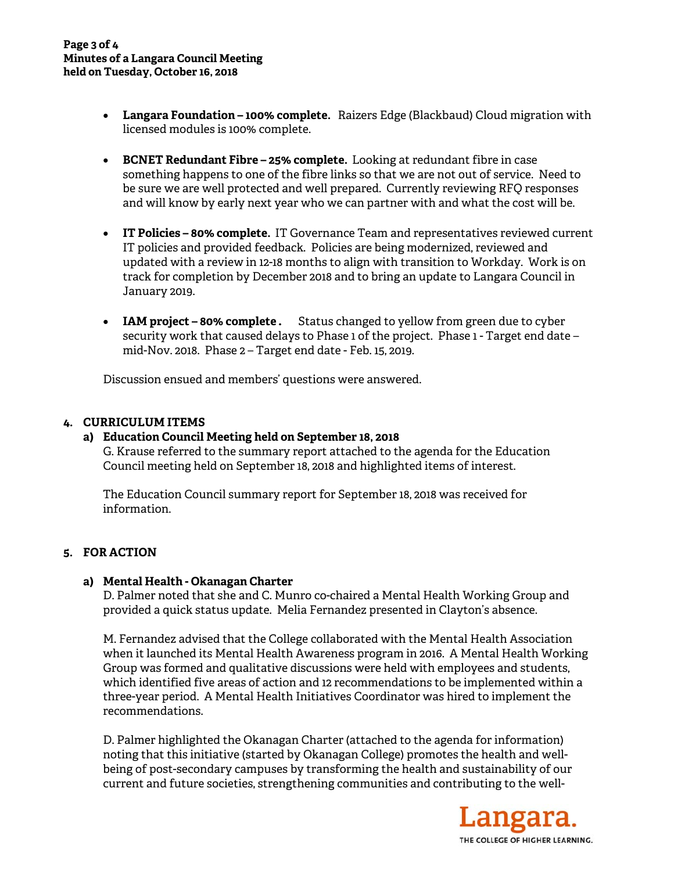- **Langara Foundation 100% complete.** Raizers Edge (Blackbaud) Cloud migration with licensed modules is 100% complete.
- **BCNET Redundant Fibre 25% complete.** Looking at redundant fibre in case something happens to one of the fibre links so that we are not out of service. Need to be sure we are well protected and well prepared. Currently reviewing RFQ responses and will know by early next year who we can partner with and what the cost will be.
- **IT Policies 80% complete.** IT Governance Team and representatives reviewed current IT policies and provided feedback. Policies are being modernized, reviewed and updated with a review in 12-18 months to align with transition to Workday. Work is on track for completion by December 2018 and to bring an update to Langara Council in January 2019.
- **IAM project 80% complete.** Status changed to yellow from green due to cyber security work that caused delays to Phase 1 of the project. Phase 1 - Target end date – mid-Nov. 2018. Phase 2 – Target end date - Feb. 15, 2019.

Discussion ensued and members' questions were answered.

## **4. CURRICULUM ITEMS**

#### **a) Education Council Meeting held on September 18, 2018**

G. Krause referred to the summary report attached to the agenda for the Education Council meeting held on September 18, 2018 and highlighted items of interest.

The Education Council summary report for September 18, 2018 was received for information.

## **5. FOR ACTION**

#### **a) Mental Health - Okanagan Charter**

D. Palmer noted that she and C. Munro co-chaired a Mental Health Working Group and provided a quick status update. Melia Fernandez presented in Clayton's absence.

M. Fernandez advised that the College collaborated with the Mental Health Association when it launched its Mental Health Awareness program in 2016. A Mental Health Working Group was formed and qualitative discussions were held with employees and students, which identified five areas of action and 12 recommendations to be implemented within a three-year period. A Mental Health Initiatives Coordinator was hired to implement the recommendations.

D. Palmer highlighted the Okanagan Charter (attached to the agenda for information) noting that this initiative (started by Okanagan College) promotes the health and wellbeing of post-secondary campuses by transforming the health and sustainability of our current and future societies, strengthening communities and contributing to the well-